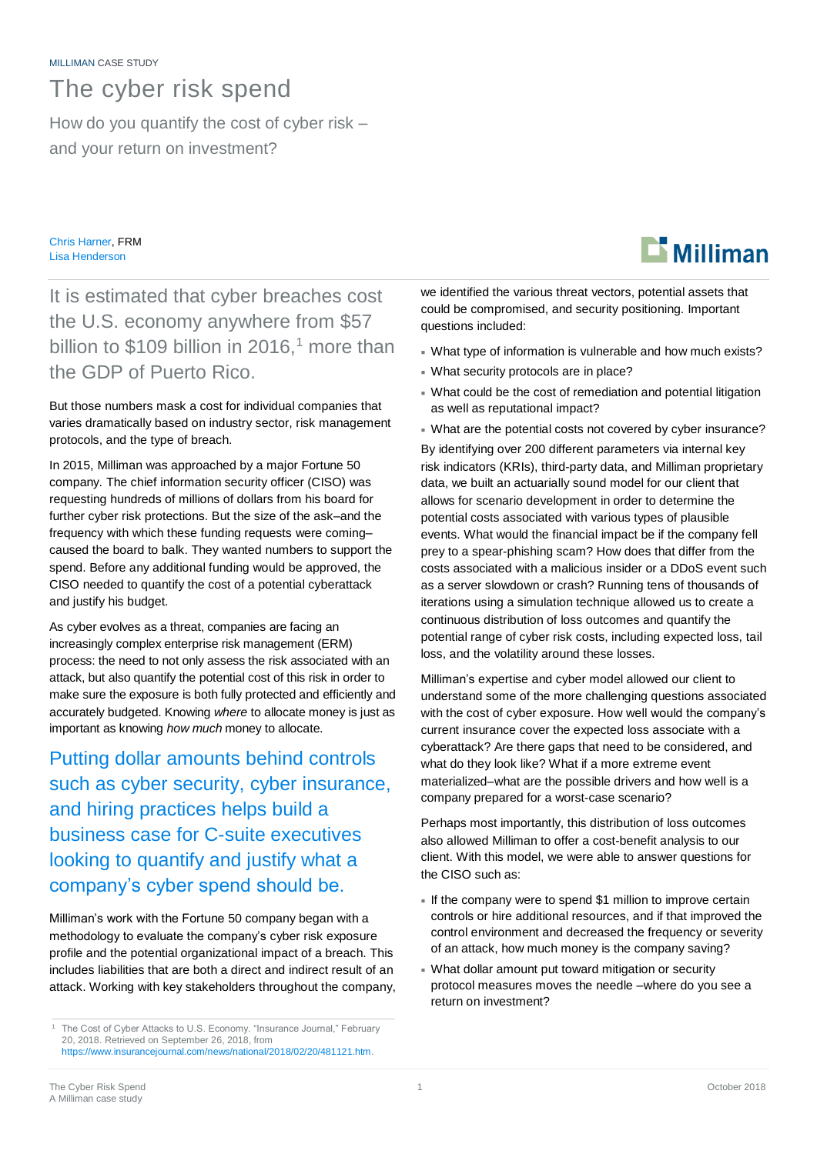## The cyber risk spend

How do you quantify the cost of cyber risk – and your return on investment?

Chris Harner, FRM Lisa Henderson

It is estimated that cyber breaches cost the U.S. economy anywhere from \$57 billion to  $$109$  billion in 2016,<sup>1</sup> more than the GDP of Puerto Rico.

But those numbers mask a cost for individual companies that varies dramatically based on industry sector, risk management protocols, and the type of breach.

In 2015, Milliman was approached by a major Fortune 50 company. The chief information security officer (CISO) was requesting hundreds of millions of dollars from his board for further cyber risk protections. But the size of the ask–and the frequency with which these funding requests were coming– caused the board to balk. They wanted numbers to support the spend. Before any additional funding would be approved, the CISO needed to quantify the cost of a potential cyberattack and justify his budget.

As cyber evolves as a threat, companies are facing an increasingly complex enterprise risk management (ERM) process: the need to not only assess the risk associated with an attack, but also quantify the potential cost of this risk in order to make sure the exposure is both fully protected and efficiently and accurately budgeted. Knowing *where* to allocate money is just as important as knowing *how much* money to allocate.

Putting dollar amounts behind controls such as cyber security, cyber insurance, and hiring practices helps build a business case for C-suite executives looking to quantify and justify what a company's cyber spend should be.

Milliman's work with the Fortune 50 company began with a methodology to evaluate the company's cyber risk exposure profile and the potential organizational impact of a breach. This includes liabilities that are both a direct and indirect result of an attack. Working with key stakeholders throughout the company, we identified the various threat vectors, potential assets that could be compromised, and security positioning. Important questions included:

- What type of information is vulnerable and how much exists?
- What security protocols are in place?
- What could be the cost of remediation and potential litigation as well as reputational impact?
- What are the potential costs not covered by cyber insurance?

By identifying over 200 different parameters via internal key risk indicators (KRIs), third-party data, and Milliman proprietary data, we built an actuarially sound model for our client that allows for scenario development in order to determine the potential costs associated with various types of plausible events. What would the financial impact be if the company fell prey to a spear-phishing scam? How does that differ from the costs associated with a malicious insider or a DDoS event such as a server slowdown or crash? Running tens of thousands of iterations using a simulation technique allowed us to create a continuous distribution of loss outcomes and quantify the potential range of cyber risk costs, including expected loss, tail loss, and the volatility around these losses.

Milliman's expertise and cyber model allowed our client to understand some of the more challenging questions associated with the cost of cyber exposure. How well would the company's current insurance cover the expected loss associate with a cyberattack? Are there gaps that need to be considered, and what do they look like? What if a more extreme event materialized–what are the possible drivers and how well is a company prepared for a worst-case scenario?

Perhaps most importantly, this distribution of loss outcomes also allowed Milliman to offer a cost-benefit analysis to our client. With this model, we were able to answer questions for the CISO such as:

- If the company were to spend \$1 million to improve certain controls or hire additional resources, and if that improved the control environment and decreased the frequency or severity of an attack, how much money is the company saving?
- What dollar amount put toward mitigation or security protocol measures moves the needle –where do you see a return on investment?



<sup>1</sup> The Cost of Cyber Attacks to U.S. Economy. "Insurance Journal," February 20, 2018. Retrieved on September 26, 2018, from [https://www.insurancejournal.com/news/national/2018/02/20/481121.htm.](https://www.insurancejournal.com/news/national/2018/02/20/481121.htm)